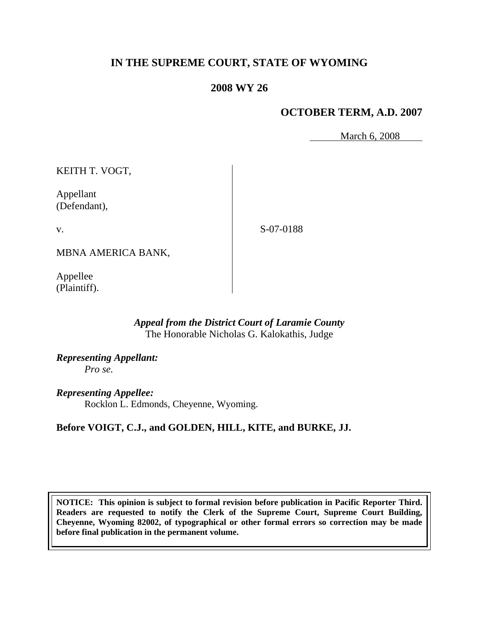# **IN THE SUPREME COURT, STATE OF WYOMING**

## **2008 WY 26**

## **OCTOBER TERM, A.D. 2007**

March 6, 2008

KEITH T. VOGT,

Appellant (Defendant),

v.

S-07-0188

MBNA AMERICA BANK,

Appellee (Plaintiff).

### *Appeal from the District Court of Laramie County* The Honorable Nicholas G. Kalokathis, Judge

*Representing Appellant: Pro se.*

*Representing Appellee:* Rocklon L. Edmonds, Cheyenne, Wyoming.

# **Before VOIGT, C.J., and GOLDEN, HILL, KITE, and BURKE, JJ.**

**NOTICE: This opinion is subject to formal revision before publication in Pacific Reporter Third. Readers are requested to notify the Clerk of the Supreme Court, Supreme Court Building, Cheyenne, Wyoming 82002, of typographical or other formal errors so correction may be made before final publication in the permanent volume.**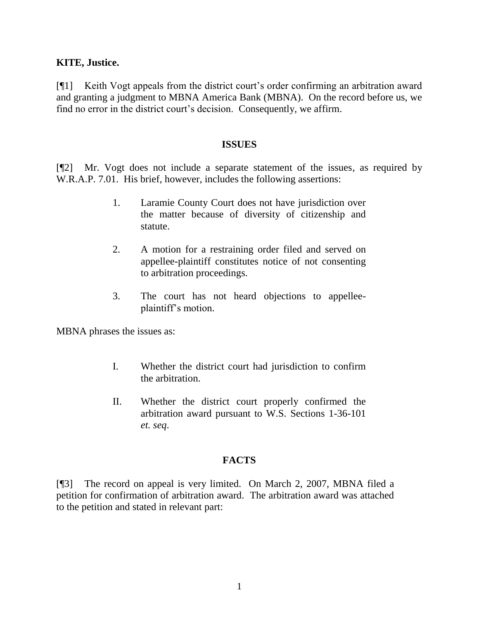#### **KITE, Justice.**

[¶1] Keith Vogt appeals from the district court's order confirming an arbitration award and granting a judgment to MBNA America Bank (MBNA). On the record before us, we find no error in the district court's decision. Consequently, we affirm.

#### **ISSUES**

[¶2] Mr. Vogt does not include a separate statement of the issues, as required by W.R.A.P. 7.01. His brief, however, includes the following assertions:

- 1. Laramie County Court does not have jurisdiction over the matter because of diversity of citizenship and statute.
- 2. A motion for a restraining order filed and served on appellee-plaintiff constitutes notice of not consenting to arbitration proceedings.
- 3. The court has not heard objections to appelleeplaintiff's motion.

MBNA phrases the issues as:

- I. Whether the district court had jurisdiction to confirm the arbitration.
- II. Whether the district court properly confirmed the arbitration award pursuant to W.S. Sections 1-36-101 *et. seq*.

#### **FACTS**

[¶3] The record on appeal is very limited. On March 2, 2007, MBNA filed a petition for confirmation of arbitration award. The arbitration award was attached to the petition and stated in relevant part: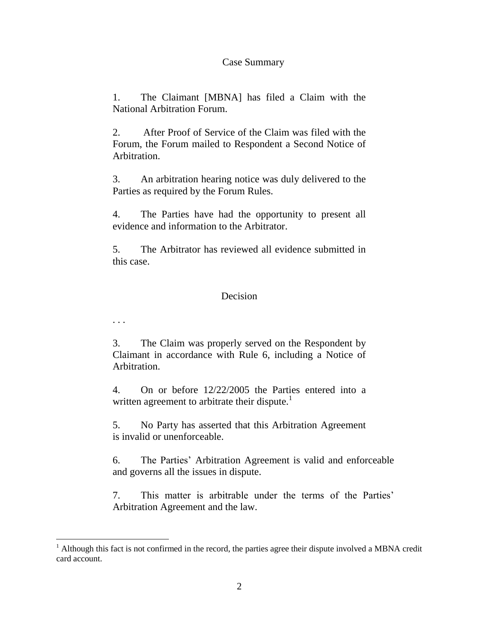#### Case Summary

1. The Claimant [MBNA] has filed a Claim with the National Arbitration Forum.

2. After Proof of Service of the Claim was filed with the Forum, the Forum mailed to Respondent a Second Notice of Arbitration.

3. An arbitration hearing notice was duly delivered to the Parties as required by the Forum Rules.

4. The Parties have had the opportunity to present all evidence and information to the Arbitrator.

5. The Arbitrator has reviewed all evidence submitted in this case.

### **Decision**

. . .

l

3. The Claim was properly served on the Respondent by Claimant in accordance with Rule 6, including a Notice of Arbitration.

4. On or before 12/22/2005 the Parties entered into a written agreement to arbitrate their dispute.<sup>1</sup>

5. No Party has asserted that this Arbitration Agreement is invalid or unenforceable.

6. The Parties' Arbitration Agreement is valid and enforceable and governs all the issues in dispute.

7. This matter is arbitrable under the terms of the Parties' Arbitration Agreement and the law.

 $1$  Although this fact is not confirmed in the record, the parties agree their dispute involved a MBNA credit card account.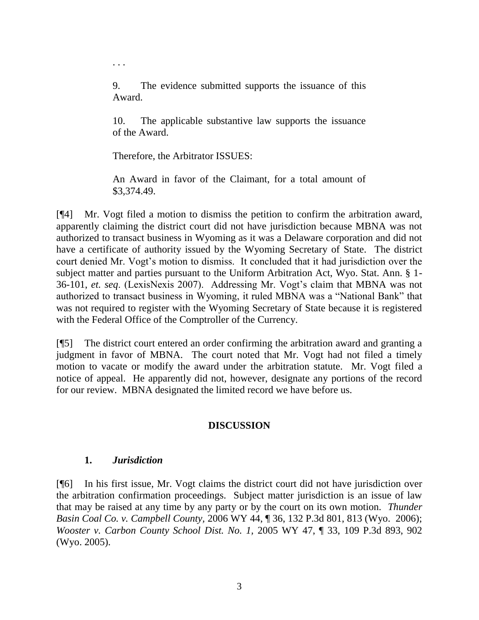9. The evidence submitted supports the issuance of this Award.

10. The applicable substantive law supports the issuance of the Award.

Therefore, the Arbitrator ISSUES:

. . .

An Award in favor of the Claimant, for a total amount of \$3,374.49.

[¶4] Mr. Vogt filed a motion to dismiss the petition to confirm the arbitration award, apparently claiming the district court did not have jurisdiction because MBNA was not authorized to transact business in Wyoming as it was a Delaware corporation and did not have a certificate of authority issued by the Wyoming Secretary of State. The district court denied Mr. Vogt's motion to dismiss. It concluded that it had jurisdiction over the subject matter and parties pursuant to the Uniform Arbitration Act, Wyo. Stat. Ann. § 1- 36-101, *et. seq*. (LexisNexis 2007). Addressing Mr. Vogt's claim that MBNA was not authorized to transact business in Wyoming, it ruled MBNA was a "National Bank" that was not required to register with the Wyoming Secretary of State because it is registered with the Federal Office of the Comptroller of the Currency.

[¶5] The district court entered an order confirming the arbitration award and granting a judgment in favor of MBNA. The court noted that Mr. Vogt had not filed a timely motion to vacate or modify the award under the arbitration statute. Mr. Vogt filed a notice of appeal. He apparently did not, however, designate any portions of the record for our review. MBNA designated the limited record we have before us.

### **DISCUSSION**

### **1.** *Jurisdiction*

[¶6] In his first issue, Mr. Vogt claims the district court did not have jurisdiction over the arbitration confirmation proceedings. Subject matter jurisdiction is an issue of law that may be raised at any time by any party or by the court on its own motion. *Thunder Basin Coal Co. v. Campbell County,* 2006 WY 44, ¶ 36, 132 P.3d 801, 813 (Wyo. 2006); *Wooster v. Carbon County School Dist. No. 1,* 2005 WY 47, ¶ 33, 109 P.3d 893, 902 (Wyo. 2005).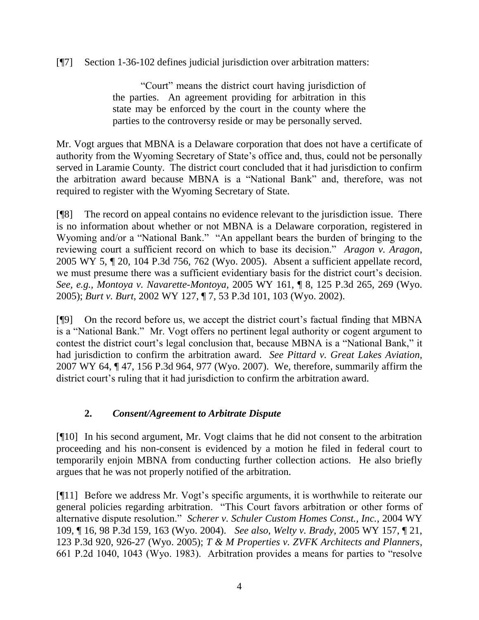[¶7] Section 1-36-102 defines judicial jurisdiction over arbitration matters:

"Court" means the district court having jurisdiction of the parties. An agreement providing for arbitration in this state may be enforced by the court in the county where the parties to the controversy reside or may be personally served.

Mr. Vogt argues that MBNA is a Delaware corporation that does not have a certificate of authority from the Wyoming Secretary of State's office and, thus, could not be personally served in Laramie County. The district court concluded that it had jurisdiction to confirm the arbitration award because MBNA is a "National Bank" and, therefore, was not required to register with the Wyoming Secretary of State.

[¶8] The record on appeal contains no evidence relevant to the jurisdiction issue. There is no information about whether or not MBNA is a Delaware corporation, registered in Wyoming and/or a "National Bank." "An appellant bears the burden of bringing to the reviewing court a sufficient record on which to base its decision." *Aragon v. Aragon*, 2005 WY 5, ¶ 20, 104 P.3d 756, 762 (Wyo. 2005). Absent a sufficient appellate record, we must presume there was a sufficient evidentiary basis for the district court's decision. *See, e.g., Montoya v. Navarette-Montoya,* 2005 WY 161, ¶ 8, 125 P.3d 265, 269 (Wyo. 2005); *Burt v. Burt*, 2002 WY 127, ¶ 7, 53 P.3d 101, 103 (Wyo. 2002).

[¶9] On the record before us, we accept the district court's factual finding that MBNA is a "National Bank." Mr. Vogt offers no pertinent legal authority or cogent argument to contest the district court's legal conclusion that, because MBNA is a "National Bank," it had jurisdiction to confirm the arbitration award. *See Pittard v. Great Lakes Aviation,*  2007 WY 64, ¶ 47, 156 P.3d 964, 977 (Wyo. 2007). We, therefore, summarily affirm the district court's ruling that it had jurisdiction to confirm the arbitration award.

# **2.** *Consent/Agreement to Arbitrate Dispute*

[¶10] In his second argument, Mr. Vogt claims that he did not consent to the arbitration proceeding and his non-consent is evidenced by a motion he filed in federal court to temporarily enjoin MBNA from conducting further collection actions. He also briefly argues that he was not properly notified of the arbitration.

[¶11] Before we address Mr. Vogt's specific arguments, it is worthwhile to reiterate our general policies regarding arbitration. "This Court favors arbitration or other forms of alternative dispute resolution." *Scherer v. Schuler Custom Homes Const., Inc.*, 2004 WY 109, ¶ 16, 98 P.3d 159, 163 (Wyo. 2004). *See also*, *Welty v. Brady,* 2005 WY 157, ¶ 21, 123 P.3d 920, 926-27 (Wyo. 2005); *T & M Properties v. ZVFK Architects and Planners*, 661 P.2d 1040, 1043 (Wyo. 1983). Arbitration provides a means for parties to "resolve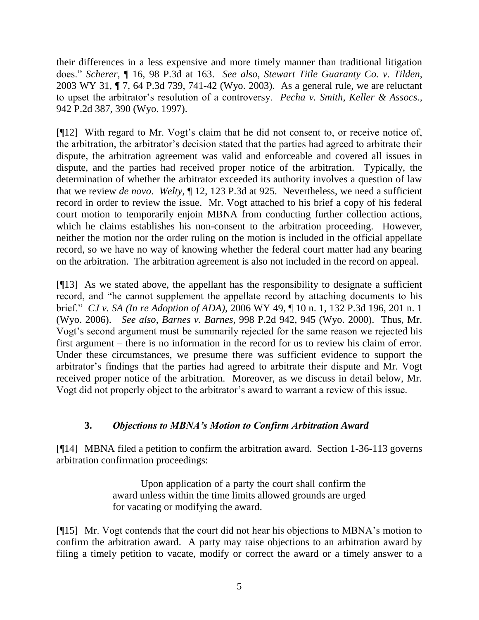their differences in a less expensive and more timely manner than traditional litigation does." *Scherer,* ¶ 16, 98 P.3d at 163. *See also*, *Stewart Title Guaranty Co. v. Tilden*, 2003 WY 31, ¶ 7, 64 P.3d 739, 741-42 (Wyo. 2003). As a general rule, we are reluctant to upset the arbitrator's resolution of a controversy. *Pecha v. Smith, Keller & Assocs.,* 942 P.2d 387, 390 (Wyo. 1997).

[¶12] With regard to Mr. Vogt's claim that he did not consent to, or receive notice of, the arbitration, the arbitrator's decision stated that the parties had agreed to arbitrate their dispute, the arbitration agreement was valid and enforceable and covered all issues in dispute, and the parties had received proper notice of the arbitration. Typically, the determination of whether the arbitrator exceeded its authority involves a question of law that we review *de novo*. *Welty,* ¶ 12, 123 P.3d at 925. Nevertheless, we need a sufficient record in order to review the issue. Mr. Vogt attached to his brief a copy of his federal court motion to temporarily enjoin MBNA from conducting further collection actions, which he claims establishes his non-consent to the arbitration proceeding. However, neither the motion nor the order ruling on the motion is included in the official appellate record, so we have no way of knowing whether the federal court matter had any bearing on the arbitration. The arbitration agreement is also not included in the record on appeal.

[¶13] As we stated above, the appellant has the responsibility to designate a sufficient record, and "he cannot supplement the appellate record by attaching documents to his brief." *CJ v. SA (In re Adoption of ADA),* 2006 WY 49, ¶ 10 n. 1, 132 P.3d 196, 201 n. 1 (Wyo. 2006). *See also*, *Barnes v. Barnes*, 998 P.2d 942, 945 (Wyo. 2000). Thus, Mr. Vogt's second argument must be summarily rejected for the same reason we rejected his first argument – there is no information in the record for us to review his claim of error. Under these circumstances, we presume there was sufficient evidence to support the arbitrator's findings that the parties had agreed to arbitrate their dispute and Mr. Vogt received proper notice of the arbitration. Moreover, as we discuss in detail below, Mr. Vogt did not properly object to the arbitrator's award to warrant a review of this issue.

### **3.** *Objections to MBNA's Motion to Confirm Arbitration Award*

[¶14] MBNA filed a petition to confirm the arbitration award. Section 1-36-113 governs arbitration confirmation proceedings:

> Upon application of a party the court shall confirm the award unless within the time limits allowed grounds are urged for vacating or modifying the award.

[¶15] Mr. Vogt contends that the court did not hear his objections to MBNA's motion to confirm the arbitration award. A party may raise objections to an arbitration award by filing a timely petition to vacate, modify or correct the award or a timely answer to a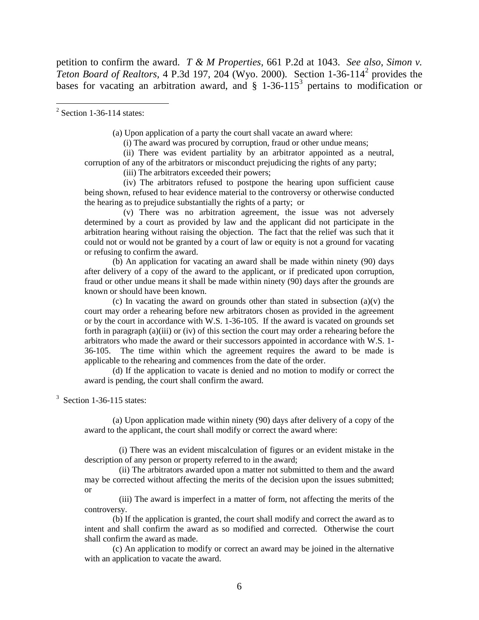petition to confirm the award. *T & M Properties,* 661 P.2d at 1043. *See also*, *Simon v. Teton Board of Realtors,* 4 P.3d 197, 204 (Wyo. 2000). Section 1-36-114<sup>2</sup> provides the bases for vacating an arbitration award, and  $\S$  1-36-115<sup>3</sup> pertains to modification or

 $2$  Section 1-36-114 states:

(a) Upon application of a party the court shall vacate an award where:

(i) The award was procured by corruption, fraud or other undue means;

 (ii) There was evident partiality by an arbitrator appointed as a neutral, corruption of any of the arbitrators or misconduct prejudicing the rights of any party;

(iii) The arbitrators exceeded their powers;

 (iv) The arbitrators refused to postpone the hearing upon sufficient cause being shown, refused to hear evidence material to the controversy or otherwise conducted the hearing as to prejudice substantially the rights of a party; or

 (v) There was no arbitration agreement, the issue was not adversely determined by a court as provided by law and the applicant did not participate in the arbitration hearing without raising the objection. The fact that the relief was such that it could not or would not be granted by a court of law or equity is not a ground for vacating or refusing to confirm the award.

(b) An application for vacating an award shall be made within ninety (90) days after delivery of a copy of the award to the applicant, or if predicated upon corruption, fraud or other undue means it shall be made within ninety (90) days after the grounds are known or should have been known.

(c) In vacating the award on grounds other than stated in subsection  $(a)(v)$  the court may order a rehearing before new arbitrators chosen as provided in the agreement or by the court in accordance with W.S. 1-36-105. If the award is vacated on grounds set forth in paragraph (a)(iii) or (iv) of this section the court may order a rehearing before the arbitrators who made the award or their successors appointed in accordance with W.S. 1- 36-105. The time within which the agreement requires the award to be made is applicable to the rehearing and commences from the date of the order.

(d) If the application to vacate is denied and no motion to modify or correct the award is pending, the court shall confirm the award.

<sup>3</sup> Section 1-36-115 states:

(a) Upon application made within ninety (90) days after delivery of a copy of the award to the applicant, the court shall modify or correct the award where:

 (i) There was an evident miscalculation of figures or an evident mistake in the description of any person or property referred to in the award;

 (ii) The arbitrators awarded upon a matter not submitted to them and the award may be corrected without affecting the merits of the decision upon the issues submitted; or

 (iii) The award is imperfect in a matter of form, not affecting the merits of the controversy.

(b) If the application is granted, the court shall modify and correct the award as to intent and shall confirm the award as so modified and corrected. Otherwise the court shall confirm the award as made.

(c) An application to modify or correct an award may be joined in the alternative with an application to vacate the award.